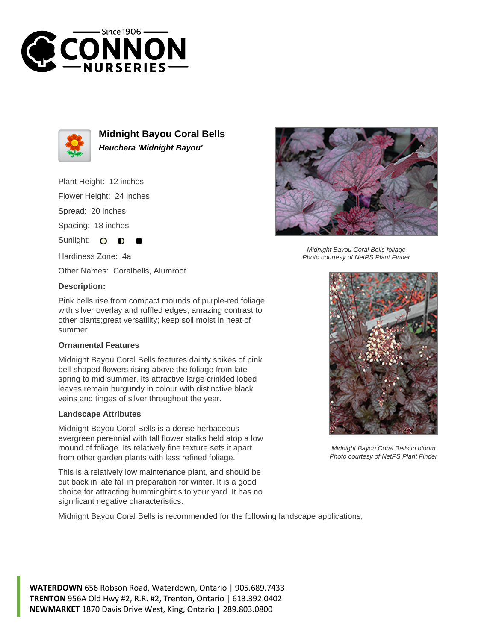



**Midnight Bayou Coral Bells Heuchera 'Midnight Bayou'**

Plant Height: 12 inches

Flower Height: 24 inches

Spread: 20 inches

Spacing: 18 inches

Sunlight:  $\mathbf{O}$ 

Hardiness Zone: 4a

Other Names: Coralbells, Alumroot

## **Description:**

Pink bells rise from compact mounds of purple-red foliage with silver overlay and ruffled edges; amazing contrast to other plants;great versatility; keep soil moist in heat of summer

## **Ornamental Features**

Midnight Bayou Coral Bells features dainty spikes of pink bell-shaped flowers rising above the foliage from late spring to mid summer. Its attractive large crinkled lobed leaves remain burgundy in colour with distinctive black veins and tinges of silver throughout the year.

## **Landscape Attributes**

Midnight Bayou Coral Bells is a dense herbaceous evergreen perennial with tall flower stalks held atop a low mound of foliage. Its relatively fine texture sets it apart from other garden plants with less refined foliage.

This is a relatively low maintenance plant, and should be cut back in late fall in preparation for winter. It is a good choice for attracting hummingbirds to your yard. It has no significant negative characteristics.

Midnight Bayou Coral Bells is recommended for the following landscape applications;



Midnight Bayou Coral Bells foliage Photo courtesy of NetPS Plant Finder



Midnight Bayou Coral Bells in bloom Photo courtesy of NetPS Plant Finder

**WATERDOWN** 656 Robson Road, Waterdown, Ontario | 905.689.7433 **TRENTON** 956A Old Hwy #2, R.R. #2, Trenton, Ontario | 613.392.0402 **NEWMARKET** 1870 Davis Drive West, King, Ontario | 289.803.0800